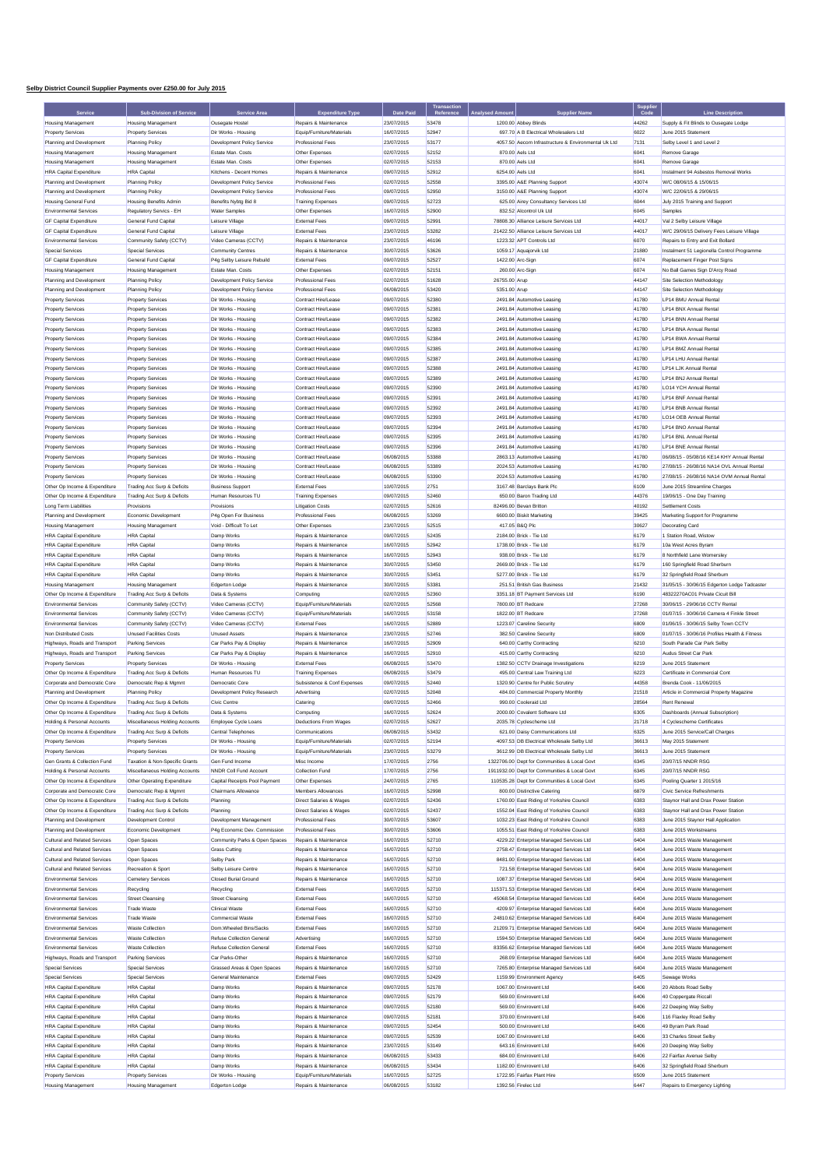## **Selby District Council Supplier Payments over £250.00 for July 2015**

| Service                                                          | <b>Sub-Division of Service</b>                          | Service Area                                       | <b>Expenditure Type</b>                                       | <b>Date Paid</b>         |                |                  | <b>Supplier Name</b>                                                                | Supplie<br>Code | <b>Line Description</b>                                                      |
|------------------------------------------------------------------|---------------------------------------------------------|----------------------------------------------------|---------------------------------------------------------------|--------------------------|----------------|------------------|-------------------------------------------------------------------------------------|-----------------|------------------------------------------------------------------------------|
| <b>Housing Management</b>                                        | <b>Housing Management</b>                               | Ousegate Hostel                                    | Repairs & Maintenance                                         | 23/07/2015               | 53478          |                  | 1200.00 Abbey Blinds                                                                | 44262           | Supply & Fit Blinds to Ousegate Lodge                                        |
| <b>Property Services</b>                                         | <b>Property Services</b>                                | Dir Works - Housing                                | Equip/Furniture/Materials                                     | 16/07/2015               | 52947          |                  | 697.70 A B Electrical Wholesalers Ltd                                               | 6022            | June 2015 Statement                                                          |
| Planning and Development                                         | <b>Planning Policy</b>                                  | Development Policy Service                         | Professional Fees                                             | 23/07/2015               | 53177          |                  | 4057.50 Aecom Infrastructure & Environmental Uk Ltd                                 | 7131            | Selby Level 1 and Level 2                                                    |
| <b>Housing Management</b>                                        | <b>Housing Management</b>                               | Estate Man, Costs                                  | Other Expenses                                                | 02/07/2015               | 52152          | 870.00 Aels Ltd  |                                                                                     | 6041            | Remove Garage                                                                |
| <b>Housing Management</b>                                        | <b>Housing Management</b>                               | Estate Man, Costs                                  | Other Expenses                                                | 02/07/2015               | 52153          | 870.00 Aels Ltd  |                                                                                     | 6041            | Remove Garage                                                                |
| <b>HRA Capital Expenditure</b>                                   | <b>HRA</b> Capital                                      | Kitchens - Decent Homes                            | Repairs & Maintenance                                         | 09/07/2015               | 52912          | 6254.00 Aels Ltd |                                                                                     | 6041            | Instalment 94 Asbestos Removal Works                                         |
| Planning and Development                                         | <b>Planning Policy</b>                                  | Development Policy Service                         | <b>Professional Fees</b>                                      | 02/07/2015               | 52558<br>52950 |                  | 3395.00 A&E Planning Support                                                        | 43074<br>43074  | W/C 08/06/15 & 15/06/15<br>W/C 22/06/15 & 29/06/15                           |
| Planning and Development<br><b>Housing General Fund</b>          | <b>Planning Policy</b><br><b>Housing Benefits Admin</b> | Development Policy Service<br>Benefits Nybtg Bid 8 | Professional Fees<br><b>Training Expenses</b>                 | 09/07/2015<br>09/07/2015 | 52723          |                  | 3150.00 A&E Planning Support<br>625.00 Airey Consultancy Services Ltd               | 6044            | July 2015 Training and Support                                               |
| <b>Environmental Services</b>                                    | Regulatory Servics - EH                                 | <b>Water Samples</b>                               | Other Expenses                                                | 16/07/2015               | 52900          |                  | 832.52 Alcontrol Uk Ltd                                                             | 6045            | Samples                                                                      |
| <b>GF Capital Expenditure</b>                                    | General Fund Capita                                     | Leisure Village                                    | <b>External Fees</b>                                          | 09/07/2015               | 52991          |                  | 78808.30 Alliance Leisure Services Ltd                                              | 44017           | Val 2 Selby Leisure Village                                                  |
| <b>GF Capital Expenditure</b>                                    | General Fund Capital                                    | Leisure Village                                    | <b>External Fees</b>                                          | 23/07/2015               | 53282          |                  | 21422.50 Alliance Leisure Services Ltd                                              | 44017           | W/C 29/06/15 Delivery Fees Leisure Village                                   |
| <b>Environmental Services</b>                                    | Community Safety (CCTV)                                 | Video Cameras (CCTV)                               | Repairs & Maintenance                                         | 23/07/2015               | 46196          |                  | 1223.32 APT Controls Ltd                                                            | 6070            | Repairs to Entry and Exit Bollard                                            |
| Special Services                                                 | Special Services                                        | <b>Community Centres</b>                           | Repairs & Maintenance                                         | 30/07/2015               | 53626          |                  | 1059.17 Aquajorvik Ltd                                                              | 21880           | Instalment 51 Legionella Control Programme                                   |
| <b>GF Capital Expenditure</b>                                    | General Fund Capital                                    | P4g Selby Leisure Rebuild                          | <b>External Fees</b>                                          | 09/07/2015               | 52527          | 1422.00 Arc-Sign |                                                                                     | 6074            | Replacement Finger Post Signs                                                |
| <b>Housing Management</b>                                        | <b>Housing Management</b>                               | Estate Man. Costs                                  | Other Expenses                                                | 02/07/2015               | 52151          | 260.00 Arc-Sign  |                                                                                     | 6074            | No Ball Games Sign D'Arcy Road                                               |
| Planning and Development                                         | <b>Planning Policy</b>                                  | Development Policy Service                         | <b>Professional Fees</b>                                      | 02/07/2015               | 51628          | 26755.00 Arup    |                                                                                     | 44147           | Site Selection Methodology                                                   |
| Planning and Development                                         | Planning Policy                                         | <b>Development Policy Service</b>                  | <b>Professional Fees</b>                                      | 06/08/2015               | 53420          | 5351.00 Arup     |                                                                                     | 44147           | Site Selection Methodology                                                   |
| <b>Property Services</b>                                         | <b>Property Services</b>                                | Dir Works - Housing                                | Contract Hire/Lease                                           | 09/07/2015               | 52380          |                  | 2491.84 Automotive Leasing                                                          | 41780           | LP14 BMU Annual Rental                                                       |
| <b>Property Services</b>                                         | <b>Property Services</b>                                | Dir Works - Housing                                | Contract Hire/Lease                                           | 09/07/2015               | 52381          |                  | 2491.84 Automotive Leasing                                                          | 41780           | LP14 BNX Annual Rental<br>LP14 BNN Annual Rental                             |
| <b>Property Services</b><br><b>Property Services</b>             | <b>Property Services</b><br><b>Property Services</b>    | Dir Works - Housing<br>Dir Works - Housing         | Contract Hire/Lease<br>Contract Hire/Lease                    | 09/07/2015<br>09/07/2015 | 52382<br>52383 |                  | 2491.84 Automotive Leasing<br>2491.84 Automotive Leasing                            | 41780<br>41780  | LP14 BNA Annual Rental                                                       |
| <b>Property Services</b>                                         | <b>Property Services</b>                                | Dir Works - Housing                                | Contract Hire/Lease                                           | 09/07/2015               | 52384          |                  | 2491.84 Automotive Leasing                                                          | 41780           | LP14 BWA Annual Rental                                                       |
| <b>Property Services</b>                                         | <b>Property Services</b>                                | Dir Works - Housing                                | Contract Hire/Lease                                           | 09/07/2015               | 52385          |                  | 2491.84 Automotive Leasing                                                          | 41780           | LP14 BMZ Annual Renta                                                        |
| <b>Property Services</b>                                         | <b>Property Services</b>                                | Dir Works - Housing                                | Contract Hire/Lease                                           | 09/07/2015               | 52387          |                  | 2491.84 Automotive Leasing                                                          | 41780           | LP14 LHU Annual Renta                                                        |
| <b>Property Services</b>                                         | <b>Property Services</b>                                | Dir Works - Housing                                | Contract Hire/Lease                                           | 09/07/2015               | 52388          |                  | 2491.84 Automotive Leasing                                                          | 41780           | LP14 LJK Annual Rental                                                       |
| <b>Property Services</b>                                         | <b>Property Services</b>                                | Dir Works - Housing                                | Contract Hire/Lease                                           | 09/07/2015               | 52389          |                  | 2491.84 Automotive Leasing                                                          | 41780           | LP14 BNJ Annual Rental                                                       |
| <b>Property Services</b>                                         | <b>Property Services</b>                                | Dir Works - Housing                                | Contract Hire/Lease                                           | 09/07/2015               | 52390          |                  | 2491.84 Automotive Leasing                                                          | 41780           | LO14 YCH Annual Rental                                                       |
| <b>Property Services</b>                                         | <b>Property Services</b>                                | Dir Works - Housing                                | Contract Hire/Lease                                           | 09/07/2015               | 52391          |                  | 2491.84 Automotive Leasing                                                          | 41780           | LP14 BNF Annual Rental                                                       |
| <b>Property Services</b>                                         | <b>Property Services</b>                                | Dir Works - Housing                                | Contract Hire/Lease                                           | 09/07/2015               | 52392          |                  | 2491.84 Automotive Leasing                                                          | 41780           | LP14 BNB Annual Rental                                                       |
| <b>Property Services</b>                                         | <b>Property Services</b>                                | Dir Works - Housing                                | Contract Hire/Lease                                           | 09/07/2015               | 52393          |                  | 2491.84 Automotive Leasing                                                          | 41780           | LO14 OEB Annual Rental                                                       |
| <b>Property Services</b>                                         | <b>Property Services</b>                                | Dir Works - Housing                                | Contract Hire/Lease                                           | 09/07/2015               | 52394          |                  | 2491.84 Automotive Leasing                                                          | 41780           | LP14 BNO Annual Rental                                                       |
| <b>Property Services</b>                                         | <b>Property Services</b>                                | Dir Works - Housing<br>Dir Works - Housing         | Contract Hire/Lease                                           | 09/07/2015               | 52395<br>52396 |                  | 2491.84 Automotive Leasing                                                          | 41780           | LP14 BNL Annual Rental                                                       |
| <b>Property Services</b>                                         | <b>Property Services</b>                                | Dir Works - Housing                                | Contract Hire/Lease                                           | 09/07/2015               | 53388          |                  | 2491.84 Automotive Leasing<br>2863.13 Automotive Leasing                            | 41780           | LP14 BNE Annual Rental<br>06/08/15 - 05/08/16 KE14 KHY Annual Rental         |
| <b>Property Services</b><br><b>Property Services</b>             | <b>Property Services</b><br><b>Property Services</b>    | Dir Works - Housing                                | Contract Hire/Lease<br>Contract Hire/Lease                    | 06/08/2015<br>06/08/2015 | 53389          |                  | 2024.53 Automotive Leasing                                                          | 41780<br>41780  | 27/08/15 - 26/08/16 NA14 OVL Annual Rental                                   |
| <b>Property Services</b>                                         | <b>Property Services</b>                                | Dir Works - Housing                                | Contract Hire/Lease                                           | 06/08/2015               | 53390          |                  | 2024.53 Automotive Leasing                                                          | 41780           | 27/08/15 - 26/08/16 NA14 OVM Annual Rental                                   |
| Other Op Income & Expenditure                                    | Trading Acc Surp & Deficits                             | <b>Business Support</b>                            | <b>External Fees</b>                                          | 10/07/2015               | 2751           |                  | 3167.48 Barclays Bank Plc                                                           | 6109            | June 2015 Streamline Charges                                                 |
| Other Op Income & Expenditure                                    | Trading Acc Surp & Deficits                             | Human Resources TU                                 | <b>Training Expenses</b>                                      | 09/07/2015               | 52460          |                  | 650.00 Baron Trading Ltd                                                            | 44376           | 19/06/15 - One Day Training                                                  |
| Long Term Liabilities                                            | Provisions                                              | Provisions                                         | <b>Litigation Costs</b>                                       | 02/07/2015               | 52616          |                  | 82496.00 Bevan Britton                                                              | 40192           | Settlement Costs                                                             |
| Planning and Development                                         | Economic Development                                    | P4g Open For Business                              | <b>Professional Fees</b>                                      | 06/08/2015               | 53269          |                  | 6600.00 Biskit Marketing                                                            | 39425           | Marketing Support for Programme                                              |
| <b>Housing Management</b>                                        | <b>Housing Management</b>                               | Void - Difficult To Let                            | Other Expenses                                                | 23/07/2015               | 52515          | 417.05 B&Q Plc   |                                                                                     | 30627           | <b>Decorating Card</b>                                                       |
| <b>HRA Capital Expenditure</b>                                   | <b>HRA</b> Capital                                      | Damp Works                                         | Repairs & Maintenance                                         | 09/07/2015               | 52435          |                  | 2184.00 Brick - Tie Ltd                                                             | 6179            | 1 Station Road, Wistow                                                       |
| <b>HRA Capital Expenditure</b>                                   | <b>HRA</b> Capital                                      | Damp Works                                         | Repairs & Maintenance                                         | 16/07/2015               | 52942          |                  | 1738.00 Brick - Tie Ltd                                                             | 6179            | 10a West Acres Byram                                                         |
| <b>HRA Capital Expenditure</b>                                   | <b>HRA</b> Capital                                      | Damp Works                                         | Repairs & Maintenance                                         | 16/07/2015               | 52943          |                  | 938.00 Brick - Tie Ltd                                                              | 6179            | 8 Northfield Lane Womersley                                                  |
| <b>HRA Capital Expenditure</b>                                   | <b>HRA</b> Capital                                      | Damp Works                                         | Repairs & Maintenance                                         | 30/07/2015               | 53450          |                  | 2669.00 Brick - Tie Ltd                                                             | 6179            | 160 Springfield Road Sherburn                                                |
| <b>HRA Capital Expenditure</b><br><b>Housing Management</b>      | <b>HRA</b> Capital<br><b>Housing Management</b>         | Damp Works<br>Edgerton Lodge                       | Repairs & Maintenance<br>Repairs & Maintenance                | 30/07/2015<br>30/07/2015 | 53451<br>53381 |                  | 5277.00 Brick - Tie Ltd<br>251.51 British Gas Business                              | 6179<br>21432   | 32 Springfield Road Sherburn<br>31/05/15 - 30/06/15 Edgerton Lodge Tadcaster |
| Other Op Income & Expenditure                                    | Trading Acc Surp & Deficits                             | Data & Systems                                     | Computing                                                     | 02/07/2015               | 52360          |                  | 3351.18 BT Payment Services Ltd                                                     | 6190            | 48322270AC01 Private Cicuit Bill                                             |
| <b>Environmental Services</b>                                    | Community Safety (CCTV)                                 | Video Cameras (CCTV)                               | Equip/Furniture/Materials                                     | 02/07/2015               | 52568          |                  | 7800.00 BT Redcare                                                                  | 27268           | 30/06/15 - 29/06/16 CCTV Rental                                              |
| <b>Environmental Services</b>                                    | Community Safety (CCTV)                                 | Video Cameras (CCTV)                               | Equip/Furniture/Materials                                     | 16/07/2015               | 53158          |                  | 1822.00 BT Redcare                                                                  | 27268           | 01/07/15 - 30/06/16 Camera 4 Finkle Street                                   |
| <b>Environmental Services</b>                                    | Community Safety (CCTV)                                 | Video Cameras (CCTV)                               | <b>External Fees</b>                                          | 16/07/2015               | 52889          |                  | 1223.07 Careline Security                                                           | 6809            | 01/06/15 - 30/06/15 Selby Town CCTV                                          |
| Non Distributed Costs                                            | <b>Unused Facilities Costs</b>                          | <b>Unused Assets</b>                               | Repairs & Maintenance                                         | 23/07/2015               | 52746          |                  | 382.50 Careline Security                                                            | 6809            | 01/07/15 - 30/06/16 Profiles Health & Fitness                                |
| Highways, Roads and Transport                                    | <b>Parking Services</b>                                 | Car Parks Pay & Display                            | Repairs & Maintenance                                         | 16/07/2015               | 52909          |                  | 640.00 Carthy Contracting                                                           | 6210            | South Parade Car Park Selby                                                  |
| Highways, Roads and Transport                                    | Parking Services                                        | Car Parks Pay & Display                            | Repairs & Maintenance                                         | 16/07/2015               | 52910          |                  | 415.00 Carthy Contracting                                                           | 6210            | Audus Street Car Park                                                        |
| <b>Property Services</b>                                         | <b>Property Services</b>                                | Dir Works - Housing                                | <b>External Fees</b>                                          | 06/08/2015               | 53470          |                  | 1382.50 CCTV Drainage Investigations                                                | 6219            | June 2015 Statement                                                          |
| Other Op Income & Expenditure<br>Corporate and Democratic Core   | Trading Acc Surp & Deficits<br>Democratic Rep & Momnt   | Human Resources TU                                 | <b>Training Expenses</b><br>Subsistence & Conf Expenses       | 06/08/2015               | 53479<br>52440 |                  | 495.00 Central Law Training Ltd<br>1320.90 Centre for Public Scrutiny               | 6223<br>44358   | Certificate in Commercial Cont<br>Brenda Cook - 11/06/2015                   |
| Planning and Development                                         | <b>Planning Policy</b>                                  | Democratic Core<br>Development Policy Research     | Advertising                                                   | 09/07/2015<br>02/07/2015 | 52048          |                  | 484.00 Commercial Property Monthly                                                  | 21518           | Article in Commercial Property Magazine                                      |
| Other Op Income & Expenditure                                    | Trading Acc Surp & Deficits                             | Civic Centre                                       | Catering                                                      | 09/07/2015               | 52466          |                  | 990.00 Cooleraid Ltd                                                                | 28564           | <b>Rent Renewal</b>                                                          |
| Other Op Income & Expenditure                                    | Trading Acc Surp & Deficits                             | Data & Systems                                     | Computing                                                     | 16/07/2015               | 52624          |                  | 2000.00 Covalent Software Ltd                                                       | 6305            | Dashboards (Annual Subscription)                                             |
| Holding & Personal A                                             | Miscellaneous Hold                                      | Employee Cycle Loans                               | <b>Deductions From Wages</b>                                  | 02/07/2015               |                |                  | 2035.78 Cyclescheme Ltd                                                             | 21718           | 4 Cyclescheme Certificates                                                   |
| Other Op Income & Expenditure                                    | Trading Acc Surp & Deficits                             | Central Telephones                                 | Communications                                                | 06/08/2015               | 53432          |                  | 621.00 Daisy Communications Ltd                                                     | 6325            | June 2015 Service/Call Charges                                               |
| <b>Property Services</b>                                         | <b>Property Services</b>                                | Dir Works - Housing                                | Equip/Furniture/Materials                                     | 02/07/2015               | 52194          |                  | 4097.53 DB Electrical Wholesale Selby Ltd                                           | 36613           | May 2015 Statement                                                           |
| <b>Property Services</b>                                         | <b>Property Services</b>                                | Dir Works - Housing                                | Equip/Furniture/Materials                                     | 23/07/2015               | 53279          |                  | 3612.99 DB Electrical Wholesale Selby Ltd                                           | 36613           | June 2015 Statement                                                          |
| Gen Grants & Collection Fund                                     | Taxation & Non-Specific Grants                          | Gen Fund Income                                    | Misc Income                                                   | 17/07/2015               | 2756           |                  | 1322706.00 Dept for Communities & Local Govt                                        | 6345            | 20/07/15 NNDR RSG                                                            |
| Holding & Personal Accounts                                      | Miscellaneous Holding Accounts                          | NNDR Coll Fund Account                             | <b>Collection Fund</b>                                        | 17/07/2015               | 2756           |                  | 1911932.00 Dept for Communities & Local Govt                                        | 6345            | 20/07/15 NNDR RSG                                                            |
| Other Op Income & Expenditure                                    | Other Operating Expenditure                             | Capital Receipts Pool Payment                      | Other Expenses                                                | 24/07/2015               | 2765           |                  | 110535.28 Dept for Communities & Local Govt                                         | 6345            | Pooling Quarter 1 2015/16                                                    |
| Corporate and Democratic Core                                    | Democratic Rep & Mgmnt<br>Trading Acc Surp & Deficits   | Chairmans Allowance                                | Members Allowances                                            | 16/07/2015<br>02/07/2015 | 52998          |                  | 800.00 Distinctive Catering<br>1760.00 East Riding of Yorkshire Council             | 6879            | Civic Service Refreshments                                                   |
| Other Op Income & Expenditure<br>Other Op Income & Expenditure   | Trading Acc Surp & Deficits                             | Planning<br>Planning                               | Direct Salaries & Wages<br><b>Direct Salaries &amp; Wages</b> | 02/07/2015               | 52436<br>52437 |                  | 1552.04 East Riding of Yorkshire Council                                            | 6383<br>6383    | Staynor Hall and Drax Power Station<br>Staynor Hall and Drax Power Station   |
| Planning and Development                                         | <b>Development Control</b>                              | Development Management                             | <b>Professional Fees</b>                                      | 30/07/2015               | 53607          |                  | 1032.23 East Riding of Yorkshire Council                                            | 6383            | June 2015 Staynor Hall Application                                           |
| Planning and Development                                         | Economic Development                                    | P4g Economic Dev. Commission                       | Professional Fees                                             | 30/07/2015               | 53606          |                  | 1055.51 East Riding of Yorkshire Council                                            | 6383            | June 2015 Workstreams                                                        |
| Cultural and Related Services                                    | Open Spaces                                             | Community Parks & Open Spaces                      | Repairs & Maintenance                                         | 16/07/2015               | 52710          |                  | 4229.22 Enterprise Managed Services Ltd                                             | 6404            | June 2015 Waste Management                                                   |
| Cultural and Related Services                                    | Open Spaces                                             | <b>Grass Cutting</b>                               | Repairs & Maintenance                                         | 16/07/2015               | 52710          |                  | 2758.47 Enterprise Managed Services Ltd                                             | 6404            | June 2015 Waste Management                                                   |
| <b>Cultural and Related Services</b>                             | Open Spaces                                             | Selby Park                                         | Repairs & Maintenance                                         | 16/07/2015               | 52710          |                  | 8481.00 Enterprise Managed Services Ltd                                             | 6404            | June 2015 Waste Management                                                   |
| Cultural and Related Services                                    | Recreation & Sport                                      | Selby Leisure Centre                               | Repairs & Maintenance                                         | 16/07/2015               | 52710          |                  | 721.58 Enterprise Managed Services Ltd                                              | 6404            | June 2015 Waste Management                                                   |
| <b>Environmental Services</b>                                    | <b>Cemetery Services</b>                                | <b>Closed Burial Ground</b>                        | Repairs & Maintenance                                         | 16/07/2015               | 52710          |                  | 1087.37 Enterprise Managed Services Ltd                                             | 6404            | June 2015 Waste Management                                                   |
| <b>Environmental Services</b>                                    | Recycling                                               | Recycling                                          | <b>External Fees</b>                                          | 16/07/2015               | 52710          |                  | 115371.53 Enterprise Managed Services Ltd                                           | 6404            | June 2015 Waste Management                                                   |
| <b>Environmental Services</b>                                    | <b>Street Cleansing</b>                                 | <b>Street Cleansing</b>                            | <b>External Fees</b>                                          | 16/07/2015               | 52710          |                  | 45068.54 Enterprise Managed Services Ltd                                            | 6404            | June 2015 Waste Management                                                   |
| <b>Environmental Services</b>                                    | Trade Waste                                             | <b>Clinical Waste</b>                              | <b>External Fees</b>                                          | 16/07/2015               | 52710          |                  | 4209.97 Enterprise Managed Services Ltd                                             | 6404            | June 2015 Waste Management                                                   |
| <b>Environmental Services</b><br><b>Environmental Services</b>   | <b>Trade Waste</b>                                      | Commercial Waste<br>Dom.Wheeled Bins/Sacks         | <b>External Fees</b>                                          | 16/07/2015               | 52710<br>52710 |                  | 24810.62 Enterprise Managed Services Ltd                                            | 6404            | June 2015 Waste Management                                                   |
| <b>Environmental Services</b>                                    | <b>Waste Collection</b><br><b>Waste Collection</b>      | Refuse Collection General                          | <b>External Fees</b><br>Advertising                           | 16/07/2015<br>16/07/2015 | 52710          |                  | 21209.71 Enterprise Managed Services Ltd<br>1594.50 Enterprise Managed Services Ltd | 6404<br>6404    | June 2015 Waste Management<br>June 2015 Waste Management                     |
| <b>Environmental Services</b>                                    | <b>Waste Collection</b>                                 | <b>Refuse Collection General</b>                   | <b>External Fees</b>                                          | 16/07/2015               | 52710          |                  | 83356.62 Enterprise Managed Services Ltd                                            | 6404            | June 2015 Waste Management                                                   |
| Highways, Roads and Transport                                    | <b>Parking Services</b>                                 | Car Parks-Other                                    | Repairs & Maintenance                                         | 16/07/2015               | 52710          |                  | 268.09 Enterprise Managed Services Ltd                                              | 6404            | June 2015 Waste Management                                                   |
| <b>Special Services</b>                                          | Special Services                                        | Grassed Areas & Open Spaces                        | Repairs & Maintenance                                         | 16/07/2015               | 52710          |                  | 7265.80 Enterprise Managed Services Ltd                                             | 6404            | June 2015 Waste Management                                                   |
| <b>Special Services</b>                                          | Special Services                                        | General Maintenance                                | <b>External Fees</b>                                          | 09/07/2015               | 52429          |                  | 1159.99 Environment Agency                                                          | 6405            | Sewage Works                                                                 |
| <b>HRA Capital Expenditure</b>                                   | <b>HRA</b> Capital                                      | Damp Works                                         | Repairs & Maintenance                                         | 09/07/2015               | 52178          |                  | 1067.00 Envirovent Ltd                                                              | 6406            | 20 Abbots Road Selby                                                         |
| <b>HRA Capital Expenditure</b>                                   | <b>HRA</b> Capital                                      | Damp Works                                         | Repairs & Maintenance                                         | 09/07/2015               | 52179          |                  | 569.00 Envirovent Ltd                                                               | 6406            | 40 Coppergate Riccall                                                        |
| <b>HRA Capital Expenditure</b>                                   | <b>HRA</b> Capital                                      | Damp Works                                         | Repairs & Maintenance                                         | 09/07/2015               | 52180          |                  | 569.00 Envirovent Ltd                                                               | 6406            | 22 Deeping Way Selby                                                         |
| <b>HRA Capital Expenditure</b>                                   | <b>HRA</b> Capital                                      | Damp Works                                         | Repairs & Maintenance                                         | 09/07/2015               | 52181          |                  | 370.00 Envirovent Ltd                                                               | 6406            | 116 Flaxley Road Selby                                                       |
| <b>HRA Capital Expenditure</b>                                   | <b>HRA</b> Capital                                      | Damp Works                                         | Repairs & Maintenance                                         | 09/07/2015               | 52454          |                  | 500.00 Envirovent Ltd                                                               | 6406            | 49 Byram Park Road                                                           |
| <b>HRA Capital Expenditure</b>                                   | <b>HRA</b> Capital                                      | Damp Works                                         | Repairs & Maintenance                                         | 09/07/2015               | 52539          |                  | 1067.00 Envirovent Ltd                                                              | 6406            | 33 Charles Street Selby                                                      |
| <b>HRA Capital Expenditure</b>                                   | <b>HRA</b> Capital                                      | Damp Works                                         | Repairs & Maintenance                                         | 23/07/2015               | 53149          |                  | 643.16 Envirovent Ltd                                                               | 6406            | 20 Deeping Way Selby                                                         |
| <b>HRA Capital Expenditure</b><br><b>HRA Capital Expenditure</b> | <b>HRA</b> Capital                                      | Damp Works                                         | Repairs & Maintenance<br>Repairs & Maintenance                | 06/08/2015<br>06/08/2015 | 53433<br>53434 |                  | 684.00 Envirovent Ltd<br>1182.00 Envirovent Ltd                                     | 6406            | 22 Fairfax Avenue Selby                                                      |
| <b>Property Services</b>                                         | <b>HRA</b> Capital<br><b>Property Services</b>          | Damp Works<br>Dir Works - Housing                  | Equip/Furniture/Materials                                     | 16/07/2015               | 52725          |                  | 1722.95 Fairfax Plant Hire                                                          | 6406<br>6509    | 32 Springfield Road Sherburn<br>June 2015 Statement                          |
| <b>Housing Management</b>                                        | <b>Housing Management</b>                               | Edgerton Lodge                                     | Repairs & Maintenance                                         | 06/08/2015               | 53182          |                  | 1392.56 Firelec Ltd                                                                 | 6447            | Repairs to Emergency Lighting                                                |
|                                                                  |                                                         |                                                    |                                                               |                          |                |                  |                                                                                     |                 |                                                                              |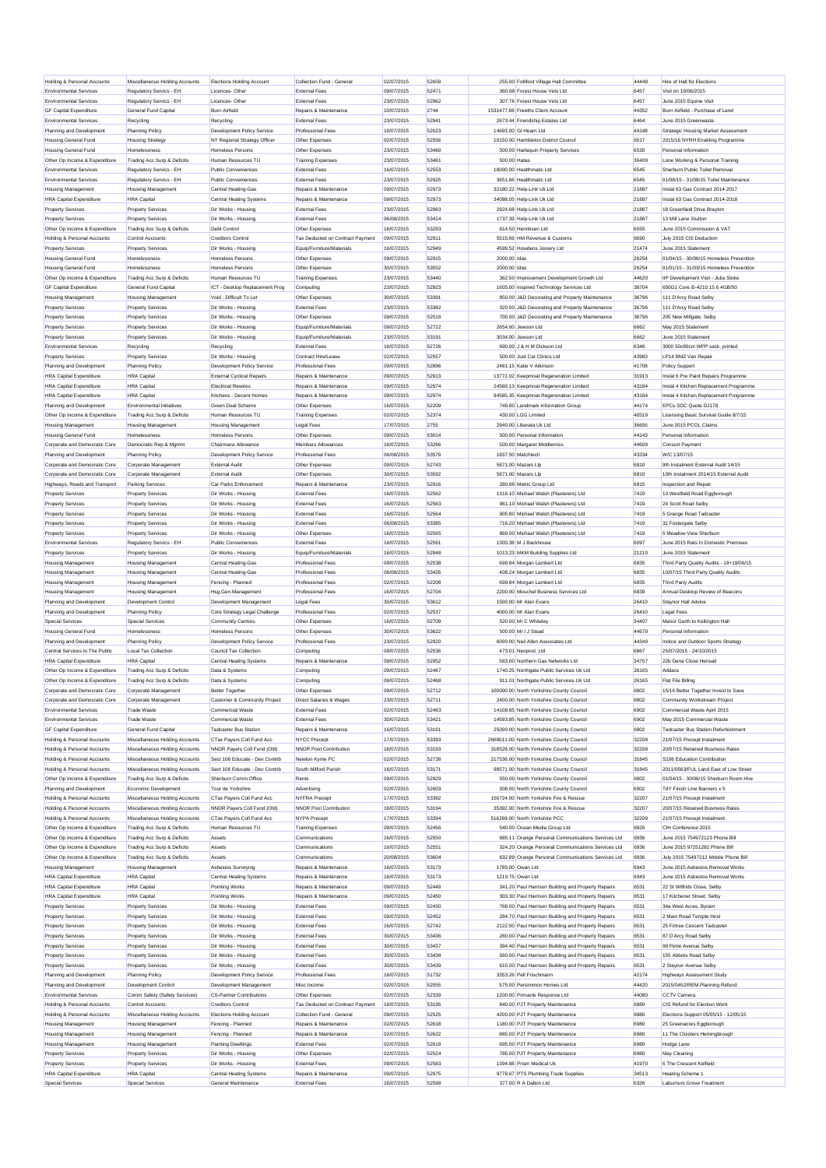| <b>Environmental Services</b>                             | Miscellaneous Holding Accounts                | Elections Holding Account                             | Collection Fund - General                     | 02/07/2015               | 52659          |                           | 255.00 Follifoot Village Hall Committee             | 44448         | Hire of Hall for Elections                                      |
|-----------------------------------------------------------|-----------------------------------------------|-------------------------------------------------------|-----------------------------------------------|--------------------------|----------------|---------------------------|-----------------------------------------------------|---------------|-----------------------------------------------------------------|
|                                                           | Regulatory Servics - EH                       | Licences-Other                                        | <b>External Fees</b>                          | 09/07/2015               | 52471          |                           | 360.98 Forest House Vets Ltd                        | 6457          | Visit on 19/06/2015                                             |
| <b>Environmental Services</b>                             | Regulatory Servics - EH                       | Licences-Other                                        | <b>External Fees</b>                          | 23/07/2015               | 52962          |                           | 307.76 Forest House Vets Ltd                        | 6457          | June 2015 Equine Visit                                          |
| <b>GF Capital Expenditure</b>                             | <b>General Fund Capital</b>                   | <b>Burn Airfield</b>                                  | Repairs & Maintenance                         | 10/07/2015               | 2744           |                           | 1531477 88 Freeths Client Account                   | 44352         | Burn Airfield - Purchase of Land                                |
| <b>Environmental Services</b>                             | Recycling                                     | Recycling                                             | <b>External Fees</b>                          | 23/07/2015               | 52941          |                           | 2673.44 Friendship Estates Ltd                      | 6464          | June 2015 Greenwaste                                            |
| Planning and Development                                  | <b>Planning Policy</b>                        | Development Policy Service                            | <b>Professional Fees</b>                      | 16/07/2015               | 52623          | 14693.00 GI Hearn Ltd     |                                                     | 44148         | Strategic Housing Market Assessment                             |
| <b>Housing General Fund</b>                               | <b>Housing Strategy</b>                       | NY Regional Strategy Officer                          | Other Expenses                                | 02/07/2015               | 52556          |                           | 10150.00 Hambleton District Council                 | 6517          | 2015/16 NYRH Enabling Programme                                 |
| <b>Housing General Fund</b>                               | Homelessness                                  | <b>Homeless Persons</b>                               | Other Expenses                                | 23/07/2015               | 53460          |                           | 500.00 Harlequin Property Services                  | 6530          | Personal Information                                            |
|                                                           | Trading Acc Surp & Deficits                   | Human Resources TU                                    | <b>Training Expenses</b>                      |                          | 53461          | 500.00 Hatas              |                                                     | 36409         |                                                                 |
| Other Op Income & Expenditure                             |                                               |                                                       |                                               | 23/07/2015               |                |                           |                                                     |               | Lone Working & Personal Training                                |
| <b>Environmental Services</b>                             | Regulatory Servics - EH                       | <b>Public Conveniences</b>                            | <b>External Fees</b>                          | 16/07/2015               | 52553          | 18000.00 Healthmatic Ltd  |                                                     | 6545          | Sherburn Public Toilet Removal                                  |
| <b>Environmental Services</b>                             | Regulatory Servics - EH                       | Public Conveniences                                   | <b>External Fees</b>                          | 23/07/2015               | 52925          | 3651 66 Healthmatic Ltd   |                                                     | 6545          | 01/08/15 - 31/08/15 Toilet Maintenance                          |
| <b>Housing Management</b>                                 | <b>Housing Management</b>                     | Central Heating-Gas                                   | Repairs & Maintenance                         | 09/07/2015               | 52973          | 32180.22 Help-Link Uk Ltd |                                                     | 21887         | Instal 63 Gas Contract 2014-2017                                |
| <b>HRA Capital Expenditure</b>                            | <b>HRA</b> Capital                            | <b>Central Heating Systems</b>                        | Repairs & Maintenance                         | 09/07/2015               | 52973          | 34098.05 Help-Link Uk Ltd |                                                     | 21887         | Instal 63 Gas Contract 2014-2018                                |
| <b>Property Services</b>                                  | <b>Property Services</b>                      | Dir Works - Housing                                   | <b>External Fees</b>                          | 23/07/2015               | 52963          | 2924.68 Help-Link Uk Ltd  |                                                     | 21887         | 18 Greenfield Drive Brayton                                     |
| <b>Property Services</b>                                  | <b>Property Services</b>                      | Dir Works - Housing                                   | <b>External Fees</b>                          | 06/08/2015               | 53414          | 1737.39 Help-Link Uk Ltd  |                                                     | 21887         | 13 Mill Lane Stuttor                                            |
| Other Op Income & Expenditure                             | Trading Acc Surp & Deficits                   | <b>Debt Control</b>                                   | Other Expenses                                | 16/07/2015               | 53283          | 614.50 Henriksen Ltd      |                                                     | 6555          | June 2015 Commission & VAT                                      |
| <b>Holding &amp; Personal Accounts</b>                    | Control Accounts                              | Creditors Control                                     | Tax Deducted on Contract Payment              | 09/07/2015               | 52911          |                           | 5515.69 HM Revenue & Customs                        | 6590          | July 2015 CIS Deduction                                         |
| <b>Property Services</b>                                  | <b>Property Services</b>                      | Dir Works - Housing                                   | Equip/Furniture/Materials                     | 16/07/2015               | 52949          |                           | 4599.52 Howdens Joinery Ltd                         | 21474         | June 2015 Statement                                             |
| <b>Housing General Fund</b>                               | Homelessness                                  | <b>Homeless Persons</b>                               | Other Expenses                                | 09/07/2015               | 52915          | 2000.00 Idas              |                                                     | 26254         | 01/04/15 - 30/06/15 Homeless Prevention                         |
|                                                           |                                               |                                                       |                                               |                          |                |                           |                                                     |               |                                                                 |
| <b>Housing General Fund</b>                               | Homelessness                                  | <b>Homeless Persons</b>                               | Other Expenses                                | 30/07/2015               | 53552          | 2000.00 Idas              |                                                     | 26254         | 01/01/15 - 31/03/15 Homeless Prevention                         |
| Other Op Income & Expenditure                             | Trading Acc Surp & Deficits                   | Human Resources TU                                    | <b>Training Expenses</b>                      | 23/07/2015               | 53440          |                           | 362.50 Improvement Development Growth Ltd           | 44620         | IIP Development Visit - Julia Stoke                             |
| <b>GF Capital Expenditure</b>                             | <b>General Fund Capital</b>                   | ICT - Desktop Replacement Prog                        | Computing                                     | 23/07/2015               | 52923          |                           | 1605.00 Inspired Technology Services Ltd            | 39704         | 650G1 Core i5-4210 15.6 4GB/50                                  |
| <b>Housing Management</b>                                 | <b>Housing Management</b>                     | Void - Difficult To Let                               | Other Expenses                                | 30/07/2015               | 53391          |                           | 850.00 J&D Decorating and Property Maintenance      | 36796         | 111 D'Arcy Road Selby                                           |
| <b>Property Services</b>                                  | <b>Property Services</b>                      | Dir Works - Housing                                   | <b>External Fees</b>                          | 23/07/2015               | 53382          |                           | 320.00 J&D Decorating and Property Maintenance      | 36796         | 111 D'Arcy Road Selby                                           |
| <b>Property Services</b>                                  | <b>Property Services</b>                      | Dir Works - Housing                                   | Other Expenses                                | 09/07/2015               | 52516          |                           | 700.00 J&D Decorating and Property Maintenance      | 36796         | 205 New Millgate, Selby                                         |
| <b>Property Services</b>                                  | <b>Property Services</b>                      | Dir Works - Housing                                   | Equip/Furniture/Materials                     | 09/07/2015               | 52722          | 2654.60 Jewson Ltd        |                                                     | 6662          | May 2015 Statement                                              |
| <b>Property Services</b>                                  | <b>Property Services</b>                      | Dir Works - Housing                                   | Equip/Furniture/Materials                     | 23/07/2015               | 53191          | 3034.00 Jewson Ltd        |                                                     | 6662          | June 2015 Statement                                             |
| <b>Environmental Services</b>                             |                                               | Recycling                                             | <b>External Fees</b>                          | 16/07/2015               | 52726          |                           | 690.00 J & H M Dickson Ltd                          | 6348          | 3000 50x90cm WPP sack, printed                                  |
|                                                           | Recycling                                     |                                                       |                                               |                          | 52557          |                           | 500.00 Just Car Clinics Ltd.                        |               |                                                                 |
| <b>Property Services</b>                                  | <b>Property Services</b>                      | Dir Works - Housing                                   | Contract Hire/Lease                           | 02/07/2015               |                |                           |                                                     | 43983         | LP14 BMZ Van Repair                                             |
| Planning and Development                                  | Planning Policy                               | <b>Development Policy Service</b>                     | <b>Professional Fees</b>                      | 09/07/2015               | 52896          | 2481.15 Katie V Atkinson  |                                                     | 41708         | <b>Policy Support</b>                                           |
| <b>HRA Capital Expenditure</b>                            | <b>HRA</b> Capital                            | <b>External Cyclical Repairs</b>                      | Renairs & Maintenance                         | 09/07/2015               | 52913          |                           | 13772.02 Keepmoat Regeneration Limited              | 31913         | Instal 6 Pre Paint Repairs Programme                            |
| <b>HRA Capital Expenditure</b>                            | <b>HRA</b> Capital                            | <b>Electrical Rewires</b>                             | Repairs & Maintenance                         | 09/07/2015               | 52974          |                           | 24569.13 Keepmoat Regeneration Limited              | 43184         | Instal 4 Kitchen Replacement Programme                          |
| <b>HRA Capital Expenditure</b>                            | <b>HRA</b> Capital                            | Kitchens - Decent Homes                               | Renairs & Maintenance                         | 09/07/2015               | 52974          |                           | 94585.35 Keepmoat Regeneration Limited              | 43184         | Instal 4 Kitchen Renlacement Programme                          |
| Planning and Development                                  | Environmental Initiatives                     | Green Deal Scheme                                     | Other Expenses                                | 16/07/2015               | 52209          |                           | 749.80 Landmark Information Group                   | 44174         | EPCs SDC Quote DJ178                                            |
| Other Op Income & Expenditure                             | Trading Acc Surp & Deficits                   | Human Resources TU                                    | <b>Training Expenses</b>                      | 02/07/2015               | 52374          | 430.00 LGG Limited        |                                                     | 40519         | Licensing Basic Survival Guide 8/7/15                           |
| <b>Housing Management</b>                                 | <b>Housing Management</b>                     | <b>Housing Management</b>                             | Legal Fees                                    | 17/07/2015               | 2755           | 2940.00 Liberata Uk Ltd   |                                                     | 36656         | June 2015 PCOL Claims                                           |
| <b>Housing General Fund</b>                               | Homelessness                                  | <b>Homeless Persons</b>                               | Other Expenses                                | 09/07/2015               | 53014          |                           | 500.00 Personal Information                         | 44143         | Personal Information                                            |
|                                                           |                                               |                                                       |                                               |                          |                |                           |                                                     |               |                                                                 |
| Corporate and Democratic Core                             | Democratic Rep & Mgmnt                        | <b>Chairmans Allowance</b>                            | Members Allowances                            | 16/07/2015               | 53266          |                           | 500.00 Margaret Middlemiss                          | 44609         | Consort Payment                                                 |
| <b>Planning and Development</b>                           | <b>Planning Policy</b>                        | Development Policy Service                            | Professional Fees                             | 06/08/2015               | 53579          | 1837.50 Matchtech         |                                                     | 43334         | W/C 13/07/15                                                    |
| Corporate and Democratic Core                             | Corporate Management                          | <b>External Audit</b>                                 | Other Expenses                                | 09/07/2015               | 52743          | 5871.00 Mazars Lip        |                                                     | 6810          | 9th Instalment External Audit 14/15                             |
| Corporate and Democratic Core                             | Corporate Management                          | <b>External Audit</b>                                 | Other Expenses                                | 30/07/2015               | 53592          | 5871.00 Mazars Lip        |                                                     | 6810          | 10th Instalment 2014/15 External Audit                          |
| Highways, Roads and Transport                             | <b>Parking Services</b>                       | Car Parks Enforcement                                 | Repairs & Maintenance                         | 23/07/2015               | 52916          |                           | 280.88 Metric Group Ltd                             | 6815          | Inspection and Repair                                           |
| <b>Property Services</b>                                  | <b>Property Services</b>                      | Dir Works - Housing                                   | <b>External Fees</b>                          | 16/07/2015               | 52562          |                           | 1316.10 Michael Walsh (Plasterers) Ltd              | 7419          | 13 Westfield Road Eggborough                                    |
| <b>Property Services</b>                                  | <b>Property Services</b>                      | Dir Works - Housing                                   | <b>External Fees</b>                          | 16/07/2015               | 52563          |                           | 961.10 Michael Walsh (Plasterers) Ltd               | 7419          | 24 Scott Road Selby                                             |
| <b>Property Services</b>                                  | <b>Property Services</b>                      | Dir Works - Housing                                   | <b>External Fees</b>                          | 16/07/2015               | 52564          |                           | 905.80 Michael Walsh (Plasterers) Ltd               | 7419          | 5 Grange Road Tadcaster                                         |
| <b>Property Services</b>                                  | <b>Property Services</b>                      | Dir Works - Housing                                   | <b>External Fees</b>                          | 06/08/2015               | 53385          |                           | 716.20 Michael Walsh (Plasterers) Ltd               | 7419          | 31 Fostergate Selby                                             |
| <b>Property Services</b>                                  | <b>Property Services</b>                      | Dir Works - Housing                                   | Other Expenses                                | 16/07/2015               | 52565          |                           | 869.00 Michael Walsh (Plasterers) Ltd               | 7419          | 5 Meadow View Sherburn                                          |
| <b>Environmental Services</b>                             | Regulatory Servics - EH                       | <b>Public Conveniences</b>                            | <b>External Fees</b>                          | 16/07/2015               | 52561          | 1300.38 M J Backhouse     |                                                     | 6097          | June 2015 Rats In Domestic Premises                             |
|                                                           |                                               |                                                       |                                               |                          |                |                           |                                                     |               |                                                                 |
| <b>Property Services</b>                                  | <b>Property Services</b>                      | Dir Works - Housing                                   | Equip/Furniture/Materials                     | 16/07/2015               | 52948          |                           | 1013.23 MKM Building Supplies Ltd                   | 21210         | June 2015 Statement                                             |
| <b>Housing Management</b>                                 | <b>Housing Management</b>                     | Central Heating-Gas                                   | Professional Fees                             | 09/07/2015               | 52538          |                           | 699.84 Morgan Lambert Ltd                           | 6835          | Third Party Quality Audits - 18+19/06/15                        |
| <b>Housing Management</b>                                 | <b>Housing Management</b>                     | Central Heating-Gas                                   | <b>Professional Fees</b>                      | 06/08/2015               | 53426          |                           | 408.24 Morgan Lambert Ltd                           | 6835          | 10/07/15 Third Party Quality Audits                             |
| <b>Housing Management</b>                                 | <b>Housing Management</b>                     | Fencing - Planned                                     | Professional Fees                             | 02/07/2015               | 52208          |                           | 699.84 Morgan Lambert Ltd                           | 6835          | Third Party Audits                                              |
| <b>Housing Management</b>                                 | <b>Housing Management</b>                     |                                                       |                                               |                          |                |                           |                                                     |               |                                                                 |
|                                                           |                                               | Hsg.Gen.Management                                    | Professional Fees                             | 16/07/2015               | 52704          |                           | 2200.00 Mouchel Business Services Ltd               | 6839          | Annual Desktop Review of Beacons                                |
| Planning and Development                                  | Development Control                           | Development Management                                | Legal Fees                                    | 30/07/2015               | 53612          | 1500.00 Mr Alan Evans     |                                                     | 26410         | Staynor Hall Advice                                             |
| Planning and Development                                  | <b>Planning Policy</b>                        | Core Strategy Legal Challenge                         | <b>Professional Fees</b>                      | 02/07/2015               | 52537          | 4000.00 Mr Alan Evans     |                                                     | 26410         | Legal Fees                                                      |
| Special Services                                          | <b>Special Services</b>                       | Community Centres                                     | Other Expenses                                | 16/07/2015               | 52709          | 520.00 Mr C Whiteley      |                                                     | 34407         | Manor Garth to Kellington Hall                                  |
|                                                           |                                               |                                                       |                                               |                          | 53622          | 500.00 Mr I J Stead       |                                                     |               |                                                                 |
| Housing General Fund                                      | Homelessness                                  | Homeless Persons                                      | Other Expenses                                | 30/07/2015               |                |                           |                                                     | 44679         | Personal Information                                            |
| Planning and Development                                  | <b>Planning Policy</b>                        | Development Policy Service                            | <b>Professional Fees</b>                      | 23/07/2015               | 52920          |                           | 6000.00 Neil Allen Associates Ltd.                  | 44349         | Indoor and Outdoor Sports Strategy                              |
| Central Services to The Public                            | <b>Local Tax Collection</b>                   | Council Tax Collection                                | Computing                                     | 09/07/2015               | 52536          | 473.01 Neopost Ltd        |                                                     | 6867          | 25/07/2015 - 24/10/2015                                         |
| <b>HRA Capital Expenditure</b>                            | <b>HRA</b> Canital                            | <b>Central Heating Systems</b>                        | Repairs & Maintenance                         | 09/07/2015               | 52952          |                           | 583.00 Northern Gas Networks Ltd.                   | 34757         | 22h Dene Close Hensall                                          |
| Other Op Income & Expenditure                             | Trading Acc Surp & Deficits                   | Data & Systems                                        | Computing                                     | 09/07/2015               | 52467          |                           | 1740.25 Northgate Public Services Uk Ltd            | 26165         | Addacs                                                          |
| Other Op Income & Expenditure                             | Trading Acc Surp & Deficits                   | Data & Systems                                        | Computing                                     | 09/07/2015               | 52468          |                           | 911.01 Northgate Public Services Uk Ltd             | 26165         | Flat File Billing                                               |
| Corporate and Democratic Core                             | Corporate Management                          | <b>Better Together</b>                                | Other Expenses                                | 09/07/2015               | 52712          |                           | 100000.00 North Yorkshire County Council            | 6902          | 15/16 Better Together Invest to Save                            |
| Corporate and Democratic Core                             | Corporate Managemen                           | <b>Customer &amp; Community Project</b>               | Direct Salaries & Wages                       | 23/07/2015               | 52711          |                           | 2400.00 North Yorkshire County Counci               | 6902          | Community Workstream Project                                    |
| <b>Environmental Services</b>                             | <b>Trade Waste</b>                            | <b>Commercial Waste</b>                               | <b>External Fees</b>                          | 02/07/2015               | 52463          |                           | 14108.65 North Yorkshire County Council             | 6902          | Commercial Waste April 2015                                     |
| <b>Environmental Services</b>                             | <b>Trade Waste</b>                            | Commercial Waste                                      | <b>External Fees</b>                          | 30/07/2015               | 53421          |                           | 14593.85 North Yorkshire County Council             | 6902          | May 2015 Commercial Waste                                       |
| <b>GF Capital Expenditure</b>                             | General Fund Capital                          | <b>Tadcaster Bus Station</b>                          | Repairs & Maintenance                         | 16/07/2015               | 53161          |                           | 25000.00 North Yorkshire County Council             | 6902          | Tadcaster Bus Station Refurbishment                             |
|                                                           | Miscellaneous Holding Accounts                |                                                       |                                               |                          |                |                           |                                                     |               |                                                                 |
| <b>Holding &amp; Personal Accounts</b>                    |                                               | CTax Payers Coll Fund Acc                             | <b>NYCC Precept</b>                           | 17/07/2015               | 53393          |                           | 2669011.00 North Yorkshire County Council           | 32208         | 21/07/15 Precept Instalment                                     |
| Holding & Personal Accounts                               | Miscellaneous Holding Accounts                | NNDR Payers Coll Fund (Old)                           | NNDR Pool Contribution                        | 16/07/2015               | 53193          |                           | 318528.00 North Yorkshire County Council            | 32208         | 20/07/15 Retained Business Rates<br>S106 Education Contribution |
| <b>Holding &amp; Personal Accounts</b>                    | Miscellaneous Holding Accounts                | Sect 106 Educate - Dev Contrib                        | Newton Kyme PC                                | 02/07/2015               | 52738          |                           | 217536.00 North Yorkshire County Council            | 31845         |                                                                 |
| <b>Holding &amp; Personal Accounts</b>                    | Miscellaneous Holding Accounts                | Sect 106 Educate - Dev Contrib                        | South Milford Parish                          | 16/07/2015               | 53171          |                           | 98571.00 North Yorkshire County Council             | 31845         | 2011/0563/FUL Land East of Low Street                           |
| Other Op Income & Expenditure                             | Trading Acc Surp & Deficits                   | Sherburn Comm.Office                                  | Rents                                         | 09/07/2015               | 52929          |                           | 550.00 North Yorkshire County Council               | 6902          | 01/04/15 - 30/06/15 Sherburn Room Hire                          |
| Planning and Development                                  | Economic Development                          | Tour de Yorkshire                                     | Advertising                                   | 02/07/2015               | 52603          |                           | 308.00 North Yorkshire County Council               | 6902          | TdY Finish Line Banners x 5                                     |
| Holding & Personal Accounts                               | Miscellaneous Holding Accounts                | CTax Payers Coll Fund Acc                             | NYFRA Precept                                 | 17/07/2015               | 53392          |                           | 156724.00 North Yorkshire Fire & Rescue             | 32207         | 21/07/15 Precept Instalment                                     |
| <b>Holding &amp; Personal Accounts</b>                    | Miscellaneous Holding Accounts                | NNDR Payers Coll Fund (Old)                           | <b>NNDR Pool Contribution</b>                 | 16/07/2015               | 53194          |                           | 35392.00 North Yorkshire Fire & Rescue              | 32207         | 20/07/15 Retained Business Rates                                |
| Holding & Personal Accounts                               | Miscellaneous Holding Accounts                | CTax Payers Coll Fund Acc                             | <b>NYPA Precept</b>                           | 17/07/2015               | 53394          |                           | 516269.00 North Yorkshire PCC                       | 32209         | 21/07/15 Precept Instalment                                     |
| Other Op Income & Expenditure                             | Trading Acc Surp & Deficits                   | Human Resources TU                                    | <b>Training Expenses</b>                      | 09/07/2015               | 52456          |                           | 540.00 Ocean Media Group Ltd                        | 6926          | CIH Conference 2015                                             |
| Other Op Income & Expenditure                             | Trading Acc Surp & Deficits                   | Assets                                                | Communications                                | 16/07/2015               | 52550          |                           | 685.11 Orange Personal Communications Services Ltd  | 6936          | June 2015 754972123 Phone Bill                                  |
| Other Op Income & Expenditure                             | Trading Acc Surp & Deficits                   | Assets                                                | Communications                                | 16/07/2015               | 52551          |                           | 324.20 Orange Personal Communications Services Ltd  | 6936          | June 2015 97251282 Phone Bill                                   |
| Other Op Income & Expenditure                             |                                               | Assets                                                | Communications                                | 20/08/2015               | 53604          |                           | 632.89 Orange Personal Communications Services Ltd  | 6936          | July 2015 75497212 Mobile Phone Bill                            |
|                                                           | Trading Acc Surp & Deficits                   |                                                       |                                               |                          |                |                           |                                                     |               |                                                                 |
| <b>Housing Management</b>                                 | <b>Housing Management</b>                     | Asbestos Surveying                                    | Repairs & Maintenance                         | 16/07/2015               | 53173          | 1785.00 Owan Ltd          |                                                     | 6943          | June 2015 Asbestos Removal Works                                |
| <b>HRA Capital Expenditure</b>                            | <b>HRA</b> Capita                             | <b>Central Heating Systems</b>                        | Repairs & Maintenance                         | 16/07/2015               | 53173          | 1219.75 Owan Ltd          |                                                     | 6943          | June 2015 Asbestos Removal Works                                |
| <b>HRA Capital Expenditure</b>                            | <b>HRA</b> Capital                            | Pointing Works                                        | Repairs & Maintenance                         | 09/07/2015               | 52449          |                           | 341.20 Paul Harrison Building and Property Repairs  | 6531          | 22 St Wilfrids Close, Selby                                     |
| <b>HRA Capital Expenditure</b>                            | <b>HRA</b> Capital                            | <b>Pointing Works</b>                                 | Repairs & Maintenance                         | 09/07/2015               | 52450          |                           | 303.30 Paul Harrison Building and Property Repairs  | 6531          | 17 Kitchener Street, Selby                                      |
| <b>Property Services</b>                                  | <b>Property Services</b>                      | Dir Works - Housing                                   | <b>External Fees</b>                          | 09/07/2015               | 52430          |                           | 768.00 Paul Harrison Building and Property Repairs  | 6531          | 34a West Acres, Byram                                           |
| <b>Property Services</b>                                  | <b>Property Services</b>                      | Dir Works - Housing                                   | <b>External Fees</b>                          | 09/07/2015               | 52452          |                           | 284.70 Paul Harrison Building and Property Repairs  | 6531          | 2 Main Road Temple Hirst                                        |
| <b>Property Services</b>                                  | <b>Property Services</b>                      | Dir Works - Housing                                   | <b>External Fees</b>                          | 16/07/2015               | 52742          |                           | 2122.50 Paul Harrison Building and Property Repairs | 6531          | 25 Firtree Cescent Tadcaster                                    |
| <b>Property Services</b>                                  | <b>Property Services</b>                      | Dir Works - Housing                                   | <b>External Fees</b>                          | 30/07/2015               | 53436          |                           | 260.00 Paul Harrison Building and Property Repairs  | 6531          | 87 D'Arcy Road Selby                                            |
| Property Services                                         | <b>Property Services</b>                      | Dir Works - Housing                                   | <b>External Fees</b>                          | 30/07/2015               | 53437          |                           | 394.40 Paul Harrison Building and Property Repairs  | 6531          | 99 Petre Avenue Selby                                           |
|                                                           |                                               | Dir Works - Housing                                   | <b>External Fees</b>                          | 30/07/2015               | 53438          |                           |                                                     |               | 155 Abbots Road Selby                                           |
| <b>Property Services</b>                                  | <b>Property Services</b>                      |                                                       |                                               |                          |                |                           | 560.00 Paul Harrison Building and Property Repairs  | 6531          |                                                                 |
| <b>Property Services</b>                                  | <b>Property Services</b>                      | Dir Works - Housing                                   | <b>External Fees</b>                          | 30/07/2015               | 53439          |                           | 615.00 Paul Harrison Building and Property Repairs  | 6531          | 2 Stavnor Avenue Selby                                          |
| Planning and Development                                  | <b>Planning Policy</b>                        | Development Policy Service                            | Professional Fees                             | 16/07/2015               | 51732          | 3353.26 Pell Frischmann   |                                                     | 42174         | <b>Highways Assessment Study</b>                                |
| Planning and Development                                  | Development Control                           | Development Management                                | Misc Income                                   | 02/07/2015               | 52555          |                           | 575.00 Persimmon Homes Ltd                          | 44420         | 2015/0452/REM Planning Refund                                   |
| <b>Environmental Services</b>                             | Comm Safety (Safety Services)                 | <b>CS-Partner Contributions</b>                       | Other Expenses                                | 02/07/2015               | 52339          |                           | 1200.00 Pinnacle Response Ltd                       | 44080         | <b>CCTV Camera</b>                                              |
| Holding & Personal Accounts                               | <b>Control Accounts</b>                       | <b>Creditors Control</b>                              | Tax Deducted on Contract Payment              | 16/07/2015               | 53195          |                           | 840.00 PJT Property Maintenance                     | 6980          | CIS Refund for Election Work                                    |
| Holding & Personal Accounts                               | Miscellaneous Holding Accounts                | <b>Elections Holding Account</b>                      | Collection Fund - General                     | 09/07/2015               | 52525          |                           | 4200.00 PJT Property Maintenance                    | 6980          | Elections Support 05/05/15 - 12/05/15                           |
| <b>Housing Management</b>                                 | <b>Housing Management</b>                     | Fencing - Planned                                     | Repairs & Maintenance                         | 02/07/2015               | 52618          |                           | 1180.00 PJT Property Maintenance                    | 6980          | 25 Greenacres Eggborough                                        |
| <b>Housing Management</b>                                 | <b>Housing Management</b>                     | Fencing - Planned                                     | Repairs & Maintenance                         | 02/07/2015               | 52622          |                           | 885.00 PJT Property Maintenance                     | 6980          | 11 The Cloisters Hemingbrough                                   |
| <b>Housing Management</b>                                 | <b>Housing Management</b>                     | <b>Painting Dwellings</b>                             | <b>External Fees</b>                          | 02/07/2015               | 52619          |                           | 695.00 PJT Property Maintenance                     | 6980          | Hodge Lane                                                      |
|                                                           |                                               |                                                       |                                               |                          |                |                           |                                                     |               |                                                                 |
| <b>Property Services</b>                                  | <b>Property Services</b>                      | Dir Works - Housing                                   | Other Expenses                                | 02/07/2015               | 52524          |                           | 785.00 PJT Property Maintenance                     | 6980          | May Cleaning                                                    |
| <b>Property Services</b>                                  | <b>Property Services</b>                      | Dir Works - Housing                                   | <b>External Fees</b>                          | 09/07/2015               | 52583          |                           | 1394.88 Prism Medical Uk                            | 41970         | 6 The Crescent Kelfield                                         |
| <b>HRA Capital Expenditure</b><br><b>Special Services</b> | <b>HRA Capital</b><br><b>Special Services</b> | <b>Central Heating Systems</b><br>General Maintenance | Repairs & Maintenance<br><b>External Fees</b> | 09/07/2015<br>16/07/2015 | 52975<br>52599 | 377.00 R A Dalton Ltd     | 9778.67 PTS Plumbing Trade Supplies                 | 34513<br>6326 | <b>Heating Scheme 1</b><br>Laburnum Grove Treatment             |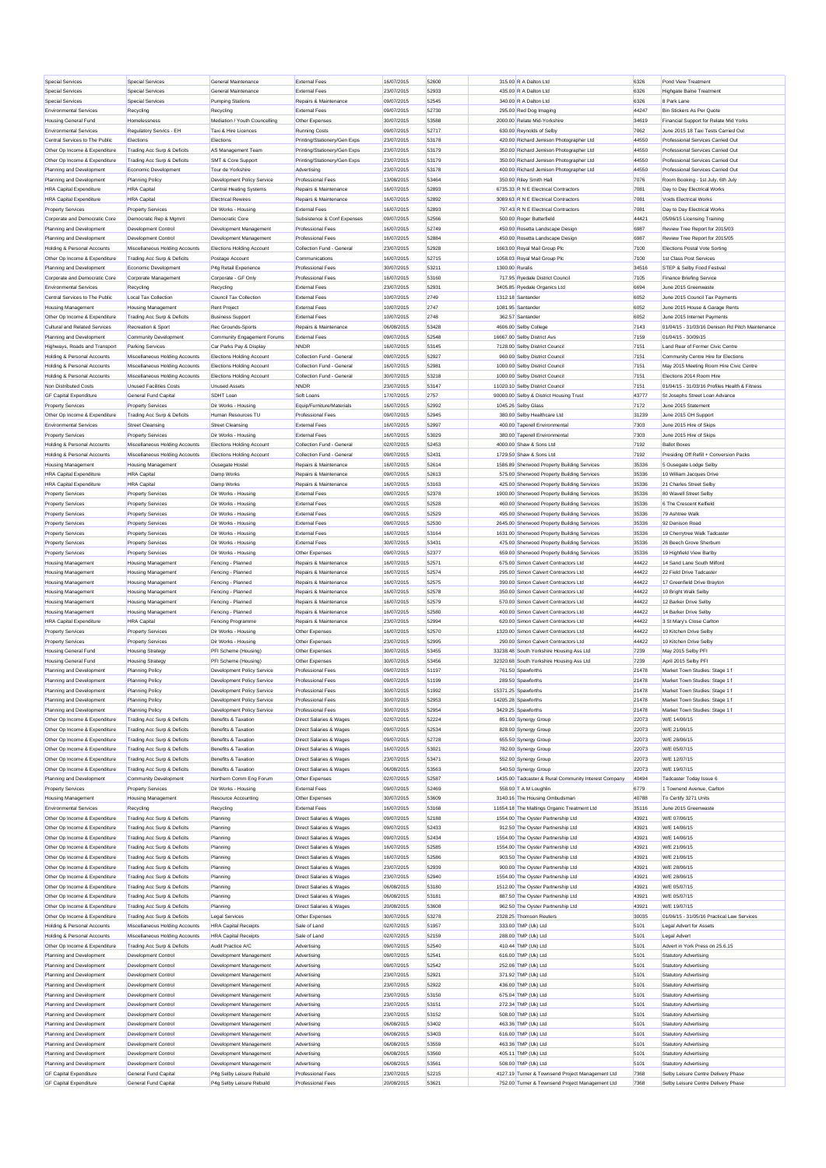| Special Services               | Special Services               | General Maintenance              | <b>External Fees</b>               | 16/07/2015 | 52600 | 315.00 R A Dalton Ltd                                | 6326  | Pond View Treatment                              |
|--------------------------------|--------------------------------|----------------------------------|------------------------------------|------------|-------|------------------------------------------------------|-------|--------------------------------------------------|
| <b>Special Services</b>        | Special Services               | General Maintenance              | <b>External Fees</b>               | 23/07/2015 | 52933 | 435.00 R A Dalton Ltd                                | 6326  | <b>Highgate Balne Treatment</b>                  |
|                                | Special Services               |                                  | Repairs & Maintenance              |            | 52545 | 340.00 R A Dalton Ltd                                |       | 8 Park Lane                                      |
| <b>Special Services</b>        |                                | <b>Pumping Stations</b>          |                                    | 09/07/2015 |       |                                                      | 6326  |                                                  |
| <b>Environmental Services</b>  | Recycling                      | Recycling                        | <b>External Fees</b>               | 09/07/2015 | 52730 | 295.00 Red Dog Imaging                               | 44247 | Bin Stickers As Per Quote                        |
| <b>Housing General Fund</b>    | <b>Homelessness</b>            | Mediation / Youth Councelling    | Other Expenses                     | 30/07/2015 | 53588 | 2000.00 Relate Mid-Yorkshire                         | 34619 | Financial Support for Relate Mid Yorks           |
| <b>Environmental Services</b>  | Regulatory Servics - EH        | Taxi & Hire Licences             | <b>Running Costs</b>               | 09/07/2015 | 52717 | 630.00 Reynolds of Selby                             | 7062  | June 2015 18 Taxi Tests Carried Out              |
| Central Services to The Public | Elections                      | Flections                        | Printing/Stationery/Gen Exps       | 23/07/2015 | 53178 | 420.00 Richard Jemison Photographer Ltd              | 44550 | Professional Services Carried Out                |
| Other On Income & Expenditure  | Trading Acc Surp & Deficits    | AS Management Team               | Printing/Stationery/Gen Exps       | 23/07/2015 | 53179 | 350.00 Richard Jemison Photographer Ltd              | 44550 | Professional Services Carried Out                |
| Other Op Income & Expenditure  | Trading Acc Surp & Deficits    | SMT & Core Support               | Printing/Stationery/Gen Exps       | 23/07/2015 | 53179 | 350.00 Richard Jemison Photographer Ltd              | 44550 | Professional Services Carried Out                |
| Planning and Development       | Economic Development           | Tour de Yorkshire                | Advertising                        | 23/07/2015 | 53178 | 400.00 Richard Jemison Photographer Ltd              | 44550 | Professional Services Carried Out                |
| Planning and Development       | <b>Planning Policy</b>         | Development Policy Service       | Professional Fees                  | 13/08/2015 | 53464 | 350.00 Riley Smith Hall                              | 7076  | Room Booking - 1st July, 6th July                |
| <b>HRA Capital Expenditure</b> | <b>HRA</b> Capital             | <b>Central Heating Systems</b>   | Repairs & Maintenance              | 16/07/2015 | 52893 | 6735.33 R N E Electrical Contractors                 | 7081  | Day to Day Electrical Works                      |
|                                |                                |                                  |                                    |            |       |                                                      |       |                                                  |
| <b>HRA Capital Expenditure</b> | <b>HRA</b> Capital             | <b>Electrical Rewires</b>        | Repairs & Maintenance              | 16/07/2015 | 52892 | 3089.63 R N E Electrical Contractors                 | 7081  | Voids Electrical Works                           |
| <b>Property Services</b>       | <b>Property Services</b>       | Dir Works - Housing              | <b>External Fees</b>               | 16/07/2015 | 52893 | 797.43 R N E Electrical Contractors                  | 7081  | Day to Day Electrical Works                      |
| Corporate and Democratic Core  | Democratic Rep & Momnt         | Democratic Core                  | Subsistence & Conf Expenses        | 09/07/2015 | 52566 | 500.00 Roger Butterfield                             | 44421 | 05/06/15 Licensing Training                      |
| Planning and Development       | Development Control            | Development Management           | Professional Fees                  | 16/07/2015 | 52749 | 450.00 Rosetta Landscape Design                      | 6987  | Review Tree Report for 2015/03                   |
| Planning and Development       | Development Control            | Development Management           | Professional Fees                  | 16/07/2015 | 52884 | 450.00 Rosetta Landscape Design                      | 6987  | Review Tree Report for 2015/05                   |
| Holding & Personal Accounts    | Miscellaneous Holding Accounts | Elections Holding Account        | Collection Fund - General          | 23/07/2015 | 52928 | 1663.00 Royal Mail Group Plc                         | 7100  | Elections Postal Vote Sorting                    |
| Other Op Income & Expenditure  | Trading Acc Surp & Deficits    | Postage Account                  | Communications                     | 16/07/2015 | 52715 | 1058.03 Royal Mail Group Plc                         | 7100  | 1st Class Post Services                          |
| Planning and Development       | Economic Development           | P4g Retail Experience            | Professional Fees                  | 30/07/2015 | 53211 | 1300.00 Ruralis                                      | 34516 | STEP & Selby Food Festival                       |
| Corporate and Democratic Core  | Corporate Management           | Corporate - GF Only              | <b>Professional Fees</b>           | 16/07/2015 | 53160 | 717.95 Ryedale District Council                      | 7105  | Finance Briefing Service                         |
| <b>Environmental Services</b>  | Recycling                      | Recycling                        | <b>External Fees</b>               | 23/07/2015 | 52931 | 3405.85 Ryedale Organics Ltd                         | 6694  | June 2015 Greenwaste                             |
| Central Services to The Public |                                |                                  |                                    |            | 2749  |                                                      |       |                                                  |
|                                | Local Tax Collection           | Council Tax Collection           | <b>External Fees</b>               | 10/07/2015 |       | 1312.18 Santander                                    | 6052  | June 2015 Council Tax Payments                   |
| <b>Housing Management</b>      | <b>Housing Management</b>      | <b>Rent Project</b>              | <b>External Fees</b>               | 10/07/2015 | 2747  | 1081.95 Santander                                    | 6052  | June 2015 House & Garage Rents                   |
| Other Op Income & Expenditure  | Trading Acc Surp & Deficits    | <b>Business Support</b>          | <b>External Fees</b>               | 10/07/2015 | 2748  | 362.57 Santander                                     | 6052  | June 2015 Internet Payments                      |
| Cultural and Related Services  | Recreation & Sport             | Rec Grounds-Sports               | Repairs & Maintenance              | 06/08/2015 | 53428 | 4606.00 Selby College                                | 7143  | 01/04/15 - 31/03/16 Denison Rd Pitch Maintenance |
| Planning and Development       | Community Development          | Community Engagement Forums      | <b>External Fees</b>               | 09/07/2015 | 52548 | 16667.00 Selby District Avs                          | 7159  | 01/04/15 - 30/09/15                              |
| Highways, Roads and Transport  | <b>Parking Services</b>        | Car Parks Pay & Display          | <b>NNDR</b>                        | 16/07/2015 | 53145 | 7128.00 Selby District Council                       | 7151  | Land Rear of Former Civic Centre                 |
| Holding & Personal Accounts    | Miscellaneous Holding Accounts | Elections Holding Account        | Collection Fund - General          | 09/07/2015 | 52927 | 960.00 Selby District Council                        | 7151  | Community Centre Hire for Elections              |
| Holding & Personal Accounts    | Miscellaneous Holding Accounts | <b>Elections Holding Account</b> | Collection Fund - General          | 16/07/2015 | 52981 | 1000.00 Selby District Council                       | 7151  | May 2015 Meeting Room Hire Civic Centre          |
| Holding & Personal Accounts    | Miscellaneous Holding Accounts | <b>Elections Holding Account</b> | Collection Fund - General          | 30/07/2015 | 53218 | 1000.00 Selby District Council                       | 7151  | Elections 2014 Room Hire                         |
| Non Distributed Costs          | <b>Unused Facilities Costs</b> | <b>Unused Assets</b>             | <b>NNDR</b>                        | 23/07/2015 | 53147 | 11020.10 Selby District Council                      | 7151  | 01/04/15 - 31/03/16 Profiles Health & Fitness    |
| <b>GF Capital Expenditure</b>  | General Fund Capital           | SDHT Loan                        | Soft Loans                         | 17/07/2015 | 2757  | 90000.00 Selby & District Housing Trust              | 43777 | St Josephs Street Loan Advance                   |
|                                |                                |                                  |                                    |            |       |                                                      |       |                                                  |
| <b>Property Services</b>       | <b>Property Services</b>       | Dir Works - Housing              | Equip/Furniture/Materials          | 16/07/2015 | 52992 | 1045.26 Selby Glass                                  | 7172  | June 2015 Statement                              |
| Other Op Income & Expenditure  | Trading Acc Surp & Deficits    | Human Resources TU               | <b>Professional Fees</b>           | 09/07/2015 | 52945 | 380.00 Selby Healthcare Ltd                          | 31239 | June 2015 OH Support                             |
| <b>Environmental Services</b>  | <b>Street Cleansing</b>        | Street Cleansing                 | <b>External Fees</b>               | 16/07/2015 | 52997 | 400.00 Taperell Environmental                        | 7303  | June 2015 Hire of Skips                          |
| <b>Property Services</b>       | <b>Property Services</b>       | Dir Works - Housing              | <b>External Fees</b>               | 16/07/2015 | 53029 | 380.00 Taperell Environmental                        | 7303  | June 2015 Hire of Skins                          |
| Holding & Personal Accounts    | Miscellaneous Holding Accounts | <b>Elections Holding Account</b> | Collection Fund - General          | 02/07/2015 | 52453 | 4000.00 Shaw & Sons Ltd                              | 7192  | <b>Ballot Boxes</b>                              |
| Holding & Personal Accounts    | Miscellaneous Holding Accounts | Elections Holding Account        | Collection Fund - General          | 09/07/2015 | 52431 | 1729.50 Shaw & Sons Ltd                              | 7192  | Presiding Off Refill + Conversion Packs          |
| Housing Management             | <b>Housing Management</b>      | Ousegate Hostel                  | Repairs & Maintenance              | 16/07/2015 | 52614 | 1586.89 Sherwood Property Building Services          | 35336 | 5 Qusenate Lodge Selby                           |
| <b>HRA Capital Expenditure</b> | <b>HRA</b> Capital             | Damp Works                       | Repairs & Maintenance              | 09/07/2015 | 52613 | 575.00 Sherwood Property Building Services           | 35336 | 10 William Jacques Drive                         |
| <b>HRA Capital Expenditure</b> | <b>HRA</b> Capital             | Damp Works                       | Repairs & Maintenance              | 16/07/2015 | 53163 | 425.00 Sherwood Property Building Services           | 35336 | 21 Charles Street Selby                          |
|                                |                                |                                  | <b>External Fees</b>               | 09/07/2015 | 52378 |                                                      | 35336 | 80 Wavell Street Selby                           |
| <b>Property Services</b>       | <b>Property Services</b>       | Dir Works - Housing              |                                    |            |       | 1900.00 Sherwood Property Building Services          |       |                                                  |
| <b>Property Services</b>       | <b>Property Services</b>       | Dir Works - Housing              | <b>External Fees</b>               | 09/07/2015 | 52528 | 460.00 Sherwood Property Building Services           | 35336 | 6 The Crescent Kelfield                          |
| <b>Property Services</b>       | <b>Property Services</b>       | Dir Works - Housing              | <b>External Fees</b>               | 09/07/2015 | 52529 | 495.00 Sherwood Property Building Services           | 35336 | 79 Ashtree Wall                                  |
| <b>Property Services</b>       | <b>Property Services</b>       | Dir Works - Housing              | <b>External Fees</b>               | 09/07/2015 | 52530 | 2645.00 Sherwood Property Building Services          | 35336 | 92 Denison Road                                  |
| <b>Property Services</b>       | <b>Property Services</b>       | Dir Works - Housing              | <b>External Fees</b>               | 16/07/2015 | 53164 | 1631.00 Sherwood Property Building Services          | 35336 | 19 Cherrytree Walk Tadcaster                     |
| <b>Property Services</b>       | <b>Property Services</b>       | Dir Works - Housing              | <b>External Fees</b>               | 30/07/2015 | 53431 | 475.00 Sherwood Property Building Services           | 35336 | 26 Beech Grove Sherburn                          |
| <b>Property Services</b>       | <b>Property Services</b>       | Dir Works - Housing              | Other Expenses                     | 09/07/2015 | 52377 | 659.00 Sherwood Property Building Services           | 35336 | 19 Highfield View Barlby                         |
| <b>Housing Management</b>      | <b>Housing Management</b>      | Fencing - Planned                | Repairs & Maintenance              | 16/07/2015 | 52571 | 675.00 Simon Calvert Contractors Ltd                 | 44422 | 14 Sand Lane South Milford                       |
| <b>Housing Management</b>      | <b>Housing Management</b>      | Fencing - Planned                | Repairs & Maintenance              | 16/07/2015 | 52574 | 295.00 Simon Calvert Contractors Ltd                 | 44422 | 22 Field Drive Tadcaster                         |
| <b>Housing Management</b>      | <b>Housing Management</b>      | Fencing - Planned                | Repairs & Maintenance              | 16/07/2015 | 52575 | 390.00 Simon Calvert Contractors Ltd                 | 44422 | 17 Greenfield Drive Brayton                      |
|                                |                                |                                  |                                    |            |       |                                                      |       |                                                  |
| <b>Housing Management</b>      | <b>Housing Management</b>      | Fencing - Planned                | Repairs & Maintenance              | 16/07/2015 | 52578 | 350.00 Simon Calvert Contractors Ltd                 | 44422 | 10 Bright Walk Selby                             |
| <b>Housing Management</b>      | <b>Housing Management</b>      | Fencing - Planned                | Repairs & Maintenance              | 16/07/2015 | 52579 | 570.00 Simon Calvert Contractors Ltd                 | 44422 | 12 Barker Drive Selby                            |
| <b>Housing Management</b>      | <b>Housing Management</b>      | Fencing - Planned                | Repairs & Maintenance              | 16/07/2015 | 52580 | 400.00 Simon Calvert Contractors Ltd                 | 44422 | 14 Barker Drive Selby                            |
| <b>HRA Capital Expenditure</b> | <b>HRA</b> Capital             | Fencing Programme                | Repairs & Maintenance              | 23/07/2015 | 52994 | 620.00 Simon Calvert Contractors Ltd                 | 44422 | 3 St Mary's Close Carlton                        |
| <b>Property Services</b>       | <b>Property Services</b>       | Dir Works - Housing              | Other Expenses                     | 16/07/2015 | 52570 | 1320.00 Simon Calvert Contractors Ltd.               | 44422 | 10 Kitchen Drive Selby                           |
| <b>Property Services</b>       | <b>Property Services</b>       | Dir Works - Housing              | Other Expenses                     | 23/07/2015 | 52995 | 290.00 Simon Calvert Contractors Ltd                 | 44422 | 10 Kitchen Drive Selby                           |
| <b>Housing General Fund</b>    | <b>Housing Strategy</b>        | PFI Scheme (Housing)             | Other Expenses                     | 30/07/2015 | 53455 | 33238.48 South Yorkshire Housing Ass Ltd             | 7239  | May 2015 Selby PFI                               |
| <b>Housing General Fund</b>    | <b>Housing Strategy</b>        | PFI Scheme (Housing)             | Other Expenses                     | 30/07/2015 | 53456 | 32320.68 South Yorkshire Housing Ass Ltd             | 7239  | April 2015 Selby PFI                             |
| Planning and Development       | <b>Planning Policy</b>         | Development Policy Service       | <b>Professional Fees</b>           | 09/07/2015 | 51197 | 761.50 Spawforths                                    | 21478 | Market Town Studies: Stage 1 f                   |
| Planning and Development       | Planning Policy                | Development Policy Service       | <b>Professional Fees</b>           | 09/07/2015 | 51199 | 289.50 Spawforths                                    | 21478 | Market Town Studies: Stage 1 f                   |
|                                |                                |                                  |                                    |            | 51992 |                                                      |       |                                                  |
| Planning and Development       | <b>Planning Policy</b>         | Development Policy Service       | Professional Fees                  | 30/07/2015 |       | 15371.25 Spawforths                                  | 21478 | Market Town Studies: Stage 1 f                   |
| Planning and Development       | <b>Planning Policy</b>         | Development Policy Service       | <b>Professional Fees</b>           | 30/07/2015 | 52953 | 14205.28 Spawforths                                  | 21478 | Market Town Studies: Stage 1 f                   |
| Planning and Development       | <b>Planning Policy</b>         | Development Policy Service       | <b>Professional Fees</b>           | 30/07/2015 | 52954 | 3429.25 Spawforths                                   | 21478 | Market Town Studies: Stage 1 f                   |
| Other Op Income & Expenditure  | Trading Acc Surp & Deficits    | Benefits & Taxation              | Direct Salaries & Wages            | 02/07/2015 | 52224 | 851.00 Synergy Group                                 | 22073 | W/F 14/06/15                                     |
| Other Op Income & Expenditure  | Trading Acc Surp & Deficits    | Benefits & Taxation              | Direct Salaries & Wages            | 09/07/2015 | 52534 | 828.00 Synergy Group                                 | 22073 | W/E 21/06/15                                     |
| Other Op Income & Expenditure  | Trading Acc Surp & Deficits    | Benefits & Taxation              | <b>Direct Salaries &amp; Wages</b> | 09/07/2015 | 52728 | 655.50 Synergy Group                                 | 22073 | W/E 28/06/15                                     |
| Other Op Income & Expenditure  | Trading Acc Surp & Deficits    | Benefits & Taxation              | Direct Salaries & Wages            | 16/07/2015 | 53021 | 782.00 Synergy Group                                 | 22073 | W/F 05/07/15                                     |
| Other Op Income & Expenditure  | Trading Acc Surp & Deficits    | Benefits & Taxation              | Direct Salaries & Wages            | 23/07/2015 | 53471 | 552.00 Synergy Group                                 | 22073 | W/E 12/07/15                                     |
| Other Op Income & Expenditure  | Trading Acc Surp & Deficits    | Benefits & Taxation              | <b>Direct Salaries &amp; Wages</b> | 06/08/2015 | 53563 | 540.50 Synergy Group                                 | 22073 | W/E 19/07/15                                     |
| Planning and Development       | <b>Community Development</b>   | Northern Comm Eng Forum          | Other Expenses                     | 02/07/2015 | 52587 | 1435.00 Tadcaster & Rural Community Interest Company | 40494 | Tadcaster Today Issue 6                          |
| <b>Property Services</b>       | <b>Property Services</b>       | Dir Works - Housing              | <b>External Fees</b>               | 09/07/2015 | 52469 | 558.00 T A M Loughlin                                | 6779  | 1 Townend Avenue, Carlton                        |
|                                |                                |                                  |                                    |            |       |                                                      |       |                                                  |
| <b>Housing Management</b>      | <b>Housing Management</b>      | Resource Accounting              | Other Expenses                     | 30/07/2015 | 53609 | 3140.16 The Housing Ombudsman                        | 40788 | To Certify 3271 Units                            |
| <b>Environmental Services</b>  | Recycling                      | Recycling                        | <b>External Fees</b>               | 16/07/2015 | 53168 | 11654.18 The Maltings Organic Treatment Ltd          | 35116 | June 2015 Greenwaste                             |
| Other Op Income & Expenditure  | Trading Acc Surp & Deficits    | Planning                         | Direct Salaries & Wages            | 09/07/2015 | 52188 | 1554.00 The Oyster Partnership Ltd                   | 43921 | W/F 07/06/15                                     |
| Other Op Income & Expenditure  | Trading Acc Surp & Deficits    | Planning                         | Direct Salaries & Wages            | 09/07/2015 | 52433 | 912.50 The Oyster Partnership Ltd                    | 43921 | W/E 14/06/15                                     |
| Other Op Income & Expenditure  | Trading Acc Surp & Deficits    | Planning                         | <b>Direct Salaries &amp; Wages</b> | 09/07/2015 | 52434 | 1554.00 The Ovster Partnership Ltd                   | 43921 | W/E 14/06/15                                     |
| Other Op Income & Expenditure  | Trading Acc Surp & Deficits    | Planning                         | Direct Salaries & Wages            | 16/07/2015 | 52585 | 1554.00 The Oyster Partnership Ltd                   | 43921 | W/E 21/06/15                                     |
| Other Op Income & Expenditure  | Trading Acc Surp & Deficits    | Planning                         | Direct Salaries & Wages            | 16/07/2015 | 52586 | 903.50 The Oyster Partnership Ltd                    | 43921 | W/F 21/06/15                                     |
| Other Op Income & Expenditure  | Trading Acc Surp & Deficits    | Planning                         | <b>Direct Salaries &amp; Wages</b> | 23/07/2015 | 52939 | 900.00 The Oyster Partnership Ltd                    | 43921 | W/E 28/06/15                                     |
| Other Op Income & Expenditure  | Trading Acc Surp & Deficits    | Planning                         | <b>Direct Salaries &amp; Wages</b> | 23/07/2015 | 52940 | 1554.00 The Oyster Partnership Ltd                   | 43921 | W/E 28/06/15                                     |
| Other Op Income & Expenditure  | Trading Acc Surp & Deficits    | Planning                         | <b>Direct Salaries &amp; Wages</b> | 06/08/2015 | 53180 | 1512.00 The Oyster Partnership Ltd                   | 43921 | W/E 05/07/15                                     |
| Other Op Income & Expenditure  | Trading Acc Surp & Deficits    | Planning                         | Direct Salaries & Wages            | 06/08/2015 | 53181 | 887.50 The Oyster Partnership Ltd                    | 43921 | W/E 05/07/15                                     |
|                                |                                |                                  |                                    |            |       |                                                      |       |                                                  |
| Other Op Income & Expenditure  | Trading Acc Surp & Deficits    | Planning                         | <b>Direct Salaries &amp; Wages</b> | 20/08/2015 | 53608 | 962.50 The Oyster Partnership Ltd                    | 43921 | W/E 19/07/15                                     |
| Other Op Income & Expenditure  | Trading Acc Surp & Deficits    | <b>Legal Services</b>            | Other Expenses                     | 30/07/2015 | 53278 | 2328.25 Thomson Reuters                              | 30035 | 01/06/15 - 31/05/16 Practical Law Services       |
| Holding & Personal Accounts    | Miscellaneous Holding Accounts | <b>HRA Capital Receipts</b>      | Sale of Land                       | 02/07/2015 | 51957 | 333.00 TMP (Uk) Ltd                                  | 5101  | Legal Advert for Assets                          |
| Holding & Personal Accounts    | Miscellaneous Holding Accounts | <b>HRA Capital Receipts</b>      | Sale of Land                       | 02/07/2015 | 52159 | 288.00 TMP (Uk) Ltd                                  | 5101  | Legal Advert                                     |
| Other Op Income & Expenditure  | Trading Acc Surp & Deficits    | Audit Practice A/C               | Advertising                        | 09/07/2015 | 52540 | 410.44 TMP (Uk) Ltd                                  | 5101  | Advert in York Press on 25.6.15                  |
| Planning and Development       | <b>Development Control</b>     | Development Management           | Advertising                        | 09/07/2015 | 52541 | 616.00 TMP (Uk) Ltd                                  | 5101  | Statutory Advertising                            |
| Planning and Development       | Development Control            | Development Management           | Advertising                        | 09/07/2015 | 52542 | 252.06 TMP (Uk) Ltd                                  | 5101  | Statutory Advertising                            |
| Planning and Development       | <b>Development Control</b>     | Development Management           | Advertising                        | 23/07/2015 | 52921 | 371.92 TMP (Uk) Ltd                                  | 5101  | <b>Statutory Advertising</b>                     |
| Planning and Development       | <b>Development Control</b>     | Development Management           | Advertising                        | 23/07/2015 | 52922 | 436.00 TMP (Uk) Ltd                                  | 5101  | <b>Statutory Advertising</b>                     |
| Planning and Development       | <b>Development Control</b>     | Development Management           | Advertising                        |            | 53150 |                                                      |       |                                                  |
|                                |                                |                                  |                                    | 23/07/2015 |       | 675.04 TMP (Uk) Ltd                                  | 5101  | <b>Statutory Advertising</b>                     |
| Planning and Development       | Development Control            | Development Management           | Advertising                        | 23/07/2015 | 53151 | 272.34 TMP (Uk) Ltd                                  | 5101  | <b>Statutory Advertising</b>                     |
| Planning and Development       | Development Control            | Development Management           | Advertising                        | 23/07/2015 | 53152 | 508.00 TMP (Uk) Ltd                                  | 5101  | <b>Statutory Advertising</b>                     |
| Planning and Development       | <b>Development Control</b>     | Development Management           | Advertising                        | 06/08/2015 | 53402 | 463.36 TMP (Uk) Ltd                                  | 5101  | <b>Statutory Advertising</b>                     |
| Planning and Development       | Development Control            | Development Management           | Advertising                        | 06/08/2015 | 53403 | 616.00 TMP (Uk) Ltd                                  | 5101  | <b>Statutory Advertising</b>                     |
| Planning and Development       | Development Control            | Development Management           | Advertising                        | 06/08/2015 | 53559 | 463.36 TMP (Uk) Ltd                                  | 5101  | <b>Statutory Advertising</b>                     |
| Planning and Development       | <b>Development Control</b>     | Development Management           | Advertising                        | 06/08/2015 | 53560 | 405.11 TMP (Uk) Ltd                                  | 5101  | <b>Statutory Advertising</b>                     |
| Planning and Development       | <b>Development Control</b>     | Development Management           | Advertising                        | 06/08/2015 | 53561 | 508.00 TMP (Uk) Ltd                                  | 5101  | <b>Statutory Advertising</b>                     |
| <b>GF Capital Expenditure</b>  | General Fund Capital           | P4g Selby Leisure Rebuild        | Professional Fees                  | 23/07/2015 | 52215 | 4127.19 Turner & Townsend Project Management Ltd     | 7368  | Selby Leisure Centre Delivery Phase              |
| <b>GF Capital Expenditure</b>  | General Fund Capital           | P4g Selby Leisure Rebuild        | Professional Fees                  | 20/08/2015 | 53621 | 752.00 Turner & Townsend Project Management Ltd      | 7368  | Selby Leisure Centre Delivery Phase              |